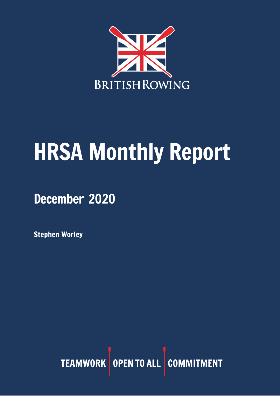

# HRSA Monthly Report

December 2020

Stephen Worley

TEAMWORK OPEN TO ALL COMMITMENT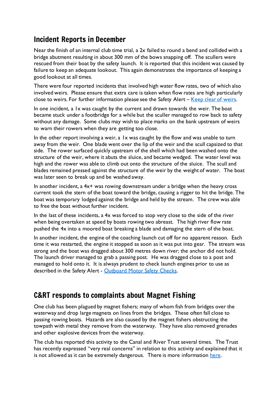# Incident Reports in December

Near the finish of an internal club time trial, a 2x failed to round a bend and collided with a bridge abutment resulting in about 300 mm of the bows snapping off. The scullers were rescued from their boat by the safety launch. It is reported that this incident was caused by failure to keep an adequate lookout. This again demonstrates the importance of keeping a good lookout at all times.

There were four reported incidents that involved high water flow rates, two of which also involved weirs. Please ensure that extra care is taken when flow rates are high particularly close to weirs. For further information please see the Safety Alert  $-$  [Keep clear of weirs.](https://www.britishrowing.org/wp-content/uploads/2019/12/Safety-Alert-Keep-clear-of-Weirs-Dec-2019.pdf)

In one incident, a 1x was caught by the current and drawn towards the weir. The boat became stuck under a footbridge for a while but the sculler managed to row back to safety without any damage. Some clubs may wish to place marks on the bank upstream of weirs to warn their rowers when they are getting too close.

In the other report involving a weir, a 1x was caught by the flow and was unable to turn away from the weir. One blade went over the lip of the weir and the scull capsized to that side. The rower surfaced quickly upstream of the shell which had been washed onto the structure of the weir, where it abuts the sluice, and became wedged. The water level was high and the rower was able to climb out onto the structure of the sluice. The scull and blades remained pressed against the structure of the weir by the weight of water. The boat was later seen to break up and be washed away.

In another incident, a  $4x+$  was rowing downstream under a bridge when the heavy cross current took the stern of the boat toward the bridge, causing a rigger to hit the bridge. The boat was temporary lodged against the bridge and held by the stream. The crew was able to free the boat without further incident.

In the last of these incidents, a 4x was forced to stop very close to the side of the river when being overtaken at speed by boats rowing two abreast. The high river flow rate pushed the 4x into a moored boat breaking a blade and damaging the stern of the boat.

In another incident, the engine of the coaching launch cut off for no apparent reason. Each time it was restarted, the engine it stopped as soon as it was put into gear. The stream was strong and the boat was dragged about 300 metres down river; the anchor did not hold. The launch driver managed to grab a passing post. He was dragged close to a post and managed to hold onto it. It is always prudent to check launch engines prior to use as described in the Safety Alert - [Outboard Motor Safety Checks.](https://www.britishrowing.org/wp-content/uploads/2015/09/Safety-Alert-Outboard-Motor-Safety-Checks.pdf)

## C&RT responds to complaints about Magnet Fishing

One club has been plagued by magnet fishers; many of whom fish from bridges over the waterway and drop large magnets on lines from the bridges. These often fall close to passing rowing boats. Hazards are also caused by the magnet fishers obstructing the towpath with metal they remove from the waterway. They have also removed grenades and other explosive devices from the waterway.

The club has reported this activity to the Canal and River Trust several times. The Trust has recently expressed "very real concerns" in relation to this activity and explained that it is not allowed as it can be extremely dangerous. There is more information [here.](https://canalrivertrust.org.uk/enjoy-the-waterways/safety-on-our-waterways/water-safety-and-magnet-fishing)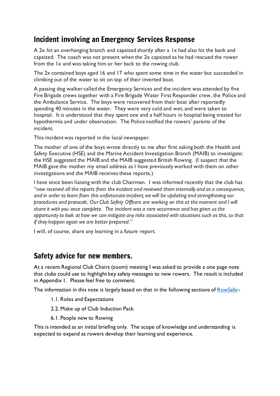# Incident involving an Emergency Services Response

A 2x hit an overhanging branch and capsized shortly after a 1x had also hit the bank and capsized. The coach was not present when the 2x capsized as he had rescued the rower from the 1x and was taking him or her back to the rowing club.

The 2x contained boys aged 16 and 17 who spent some time in the water but succeeded in climbing out of the water to sit on top of their inverted boat.

A passing dog walker called the Emergency Services and the incident was attended by five Fire Brigade crews together with a Fire Brigade Water First Responder crew, the Police and the Ambulance Service. The boys were recovered from their boat after reportedly spending 40 minutes in the water. They were very cold and wet, and were taken to hospital. It is understood that they spent one and a half hours in hospital being treated for hypothermia and under observation. The Police notified the rowers' parents of the incident.

This incident was reported in the local newspaper.

The mother of one of the boys wrote directly to me after first asking both the Health and Safety Executive (HSE) and the Marine Accident Investigation Branch (MAIB) to investigate; the HSE suggested the MAIB and the MAIB suggested British Rowing. (I suspect that the MAIB gave the mother my email address as I have previously worked with them on other investigations and the MAIB receives these reports.)

I have since been liaising with the club Chairman. I was informed recently that the club has "*now received all the reports from the incident and reviewed them internally and as a consequence, and in order to learn from this unfortunate incident, we will be updating and strengthening our procedures and protocols. Our Club Safety Officers are working on this at the moment and I will share it with you once complete. The incident was a rare occurrence and has given us the opportunity to look at how we can mitigate any risks associated with situations such as this, so that if they happen again we are better prepared*."

I will, of course, share any learning in a future report.

#### Safety advice for new members.

At a recent Regional Club Chairs (zoom) meeting I was asked to provide a one page note that clubs could use to highlight key safety messages to new rowers. The result is included in Appendix 1. Please feel free to comment.

The information in this note is largely based on that in the following sections of **RowSafe**:-

- 1.1. Roles and Expectations
- 2.2. Make up of Club Induction Pack
- 6.1. People new to Rowing

This is intended as an initial briefing only. The scope of knowledge and understanding is expected to expand as rowers develop their learning and experience.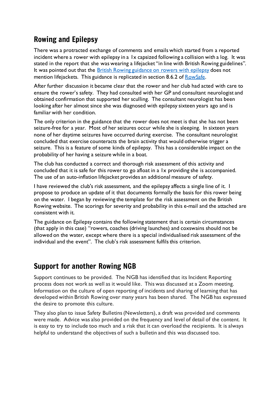# Rowing and Epilepsy

There was a protracted exchange of comments and emails which started from a reported incident where a rower with epilepsy in a 1x capsized following a collision with a log. It was stated in the report that she was wearing a lifejacket "in line with British Rowing guidelines". It was pointed out that the British Rowing [guidance](https://www.britishrowing.org/knowledge/safety/health-and-fitness/rowing-and-epilepsy/) on rowers with epilepsy does not mention lifejackets. This guidance is replicated in section 8.6.2 of [RowSafe.](https://www.britishrowing.org/wp-content/uploads/2020/11/201110-RowSafe2020.pdf)

After further discussion it became clear that the rower and her club had acted with care to ensure the rower's safety. They had consulted with her GP and consultant neurologist and obtained confirmation that supported her sculling. The consultant neurologist has been looking after her almost since she was diagnosed with epilepsy sixteen years ago and is familiar with her condition.

The only criterion in the guidance that the rower does not meet is that she has not been seizure-free for a year. Most of her seizures occur while she is sleeping. In sixteen years none of her daytime seizures have occurred during exercise. The consultant neurologist concluded that exercise counteracts the brain activity that would otherwise trigger a seizure. This is a feature of some kinds of epilepsy. This has a considerable impact on the probability of her having a seizure while in a boat.

The club has conducted a correct and thorough risk assessment of this activity and concluded that it is safe for this rower to go afloat in a 1x providing she is accompanied. The use of an auto-inflation lifejacket provides an additional measure of safety.

I have reviewed the club's risk assessment, and the epilepsy affects a single line of it. I propose to produce an update of it that documents formally the basis for this rower being on the water. I began by reviewing the template for the risk assessment on the British Rowing website. The scorings for severity and probability in this e-mail and the attached are consistent with it.

The guidance on Epilepsy contains the following statement that is certain circumstances (that apply in this case) "rowers, coaches (driving launches) and coxswains should not be allowed on the water, except where there is a special individualised risk assessment of the individual and the event". The club's risk assessment fulfils this criterion.

## Support for another Rowing NGB

Support continues to be provided. The NGB has identified that its Incident Reporting process does not work as well as it would like. This was discussed at a Zoom meeting. Information on the culture of open reporting of incidents and sharing of learning that has developed within British Rowing over many years has been shared. The NGB has expressed the desire to promote this culture.

They also plan to issue Safety Bulletins (Newsletters), a draft was provided and comments were made. Advice was also provided on the frequency and level of detail of the content. It is easy to try to include too much and a risk that it can overload the recipients. It is always helpful to understand the objectives of such a bulletin and this was discussed too.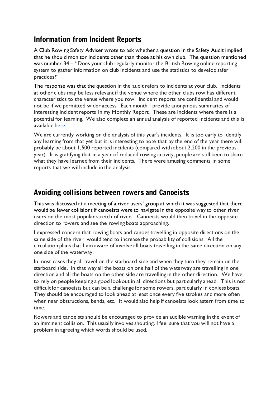## Information from Incident Reports

A Club Rowing Safety Adviser wrote to ask whether a question in the Safety Audit implied that he should monitor incidents other than those at his own club. The question mentioned was number 34 – "Does your club regularly monitor the British Rowing online reporting system to gather information on club incidents and use the statistics to develop safer practices?"

The response was that the question in the audit refers to incidents at your club. Incidents at other clubs may be less relevant if the venue where the other clubs row has different characteristics to the venue where you row. Incident reports are confidential and would not be if we permitted wider access. Each month I provide anonymous summaries of interesting incident reports in my Monthly Report. These are incidents where there is a potential for learning. We also complete an annual analysis of reported incidents and this is available [here.](https://www.britishrowing.org/wp-content/uploads/2020/02/2019-Incident-Analysis.pdf)

We are currently working on the analysis of this year's incidents. It is too early to identify any learning from that yet but it is interesting to note that by the end of the year there will probably be about 1,500 reported incidents (compared with about 2,200 in the previous year). It is gratifying that in a year of reduced rowing activity, people are still keen to share what they have learned from their incidents. There were amusing comments in some reports that we will include in the analysis.

#### Avoiding collisions between rowers and Canoeists

This was discussed at a meeting of a river users' group at which it was suggested that there would be fewer collisions if canoeists were to navigate in the opposite way to other river users on the most popular stretch of river. Canoeists would then travel in the opposite direction to rowers and see the rowing boats approaching.

I expressed concern that rowing boats and canoes travelling in opposite directions on the same side of the river would tend to increase the probability of collisions. All the circulation plans that I am aware of involve all boats travelling in the same direction on any one side of the waterway.

In most cases they all travel on the starboard side and when they turn they remain on the starboard side. In that way all the boats on one half of the waterway are travelling in one direction and all the boats on the other side are travelling in the other direction. We have to rely on people keeping a good lookout in all directions but particularly ahead. This is not difficult for canoeists but can be a challenge for some rowers, particularly in coxless boats. They should be encouraged to look ahead at least once every five strokes and more often when near obstructions, bends, etc. It would also help if canoeists look astern from time to time.

Rowers and canoeists should be encouraged to provide an audible warning in the event of an imminent collision. This usually involves shouting. I feel sure that you will not have a problem in agreeing which words should be used.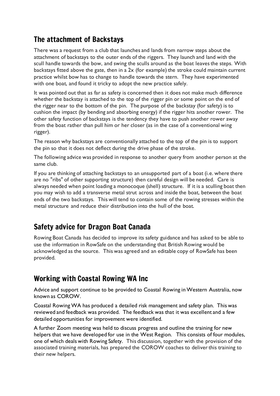# The attachment of Backstays

There was a request from a club that launches and lands from narrow steps about the attachment of backstays to the outer ends of the riggers. They launch and land with the scull handle towards the bow, and swing the sculls around as the boat leaves the steps. With backstays fitted above the gate, then in a 2x (for example) the stroke could maintain current practice whilst bow has to change to handle towards the stern. They have experimented with one boat, and found it tricky to adopt the new practice safely.

It was pointed out that as far as safety is concerned then it does not make much difference whether the backstay is attached to the top of the rigger pin or some point on the end of the rigger near to the bottom of the pin. The purpose of the backstay (for safety) is to cushion the impact (by bending and absorbing energy) if the rigger hits another rower. The other safety function of backstays is the tendency they have to push another rower away from the boat rather than pull him or her closer (as in the case of a conventional wing rigger).

The reason why backstays are conventionally attached to the top of the pin is to support the pin so that it does not deflect during the drive phase of the stroke.

The following advice was provided in response to another query from another person at the same club.

If you are thinking of attaching backstays to an unsupported part of a boat (i.e. where there are no "ribs" of other supporting structure) then careful design will be needed. Care is always needed when point loading a monocoque (shell) structure. If it is a sculling boat then you may wish to add a transverse metal strut across and inside the boat, between the boat ends of the two backstays. This will tend to contain some of the rowing stresses within the metal structure and reduce their distribution into the hull of the boat.

# Safety advice for Dragon Boat Canada

Rowing Boat Canada has decided to improve its safety guidance and has asked to be able to use the information in RowSafe on the understanding that British Rowing would be acknowledged as the source. This was agreed and an editable copy of RowSafe has been provided.

# Working with Coastal Rowing WA Inc

Advice and support continue to be provided to Coastal Rowing in Western Australia, now known as COROW.

Coastal Rowing WA has produced a detailed risk management and safety plan. This was reviewed and feedback was provided. The feedback was that it was excellent and a few detailed opportunities for improvement were identified.

A further Zoom meeting was held to discuss progress and outline the training for new helpers that we have developed for use in the West Region. This consists of four modules, one of which deals with Rowing Safety. This discussion, together with the provision of the associated training materials, has prepared the COROW coaches to deliver this training to their new helpers.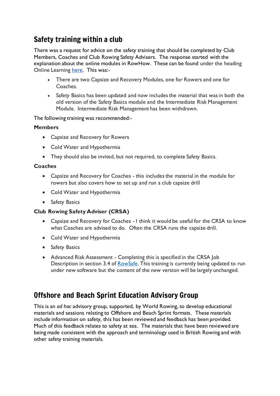# Safety training within a club

There was a request for advice on the safety training that should be completed by Club Members, Coaches and Club Rowing Safety Advisers. The response started with the explanation about the online modules in RowHow. These can be found under the heading Online Learning [here.](https://www.rowhow.org/mod/page/view.php?id=6650) This was:-

- There are two Capsize and Recovery Modules, one for Rowers and one for Coaches.
- Safety Basics has been updated and now includes the material that was in both the old version of the Safety Basics module and the Intermediate Risk Management Module. Intermediate Risk Management has been withdrawn.

The following training was recommended:-

#### **Members**

- Capsize and Recovery for Rowers
- Cold Water and Hypothermia
- They should also be invited, but not required, to complete Safety Basics.

#### **Coaches**

- Capsize and Recovery for Coaches this includes the material in the module for rowers but also covers how to set up and run a club capsize drill
- Cold Water and Hypothermia
- Safety Basics

#### **Club Rowing Safety Adviser (CRSA)**

- Capsize and Recovery for Coaches I think it would be useful for the CRSA to know what Coaches are advised to do. Often the CRSA runs the capsize drill.
- Cold Water and Hypothermia
- Safety Basics
- Advanced Risk Assessment Completing this is specified in the CRSA Job Description in section 3.4 of **RowSafe**. This training is currently being updated to run under new software but the content of the new version will be largely unchanged.

## Offshore and Beach Sprint Education Advisory Group

This is an *ad hoc* advisory group, supported, by World Rowing, to develop educational materials and sessions relating to Offshore and Beach Sprint formats. These materials include information on safety, this has been reviewed and feedback has been provided. Much of this feedback relates to safety at sea. The materials that have been reviewed are being made consistent with the approach and terminology used in British Rowing and with other safety training materials.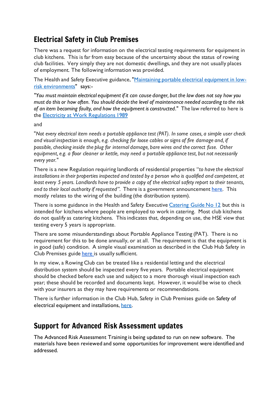# Electrical Safety in Club Premises

There was a request for information on the electrical testing requirements for equipment in club kitchens. This is far from easy because of the uncertainty about the status of rowing club facilities. Very simply they are not domestic dwellings, and they are not usually places of employment. The following information was provided.

The Health and Safety Executive guidance, ["Maintaining](https://www.hse.gov.uk/pubns/indg236.pdf) portable electrical equipment in lowrisk [environments"](https://www.hse.gov.uk/pubns/indg236.pdf) says:-

*"You must maintain electrical equipment if it can cause danger, but the law does not say how you must do this or how often. You should decide the level of maintenance needed according to the risk of an item becoming faulty, and how the equipment is constructed*." The law referred to here is the Electricity at Work [Regulations](https://www.legislation.gov.uk/uksi/1989/635/contents/made) 1989

#### and

"*Not every electrical item needs a portable appliance test (PAT). In some cases, a simple user check and visual inspection is enough, e.g. checking for loose cables or signs of fire damage and, if possible, checking inside the plug for internal damage, bare wires and the correct fuse. Other equipment, e.g. a floor cleaner or kettle, may need a portable appliance test, but not necessarily every year."*

There is a new Regulation requiring landlords of residential properties "*to have the electrical installations in their properties inspected and tested by a person who is qualified and competent, at* least every 5 years. Landlords have to provide a copy of the electrical safety report to their tenants, *and to their local authority if requested".* There is a government announcement [here.](https://www.gov.uk/government/publications/electrical-safety-standards-in-the-private-rented-sector-guidance-for-landlords-tenants-and-local-authorities/guide-for-landlords-electrical-safety-standards-in-the-private-rented-sector) This mostly relates to the wiring of the building (the distribution system).

There is some guidance in the Health and Safety Executive [Catering](https://www.hse.gov.uk/pubns/cais12.pdf) Guide No 12 but this is intended for kitchens where people are employed to work in catering. Most club kitchens do not qualify as catering kitchens. Thisindicates that, depending on use, the HSE view that testing every 5 years is appropriate.

There are some misunderstandings about Portable Appliance Testing (PAT). There is no requirement for this to be done annually, or at all. The requirement is that the equipment is in good (safe) condition. A simple visual examination as described in the Club Hub Safety in Club Premises guide [here](https://www.britishrowing.org/wp-content/uploads/2018/04/3.-Safety-of-electrical-equipment-and-installations.pdf) is usually sufficient.

In my view, a Rowing Club can be treated like a residential letting and the electrical distribution system should be inspected every five years. Portable electrical equipment should be checked before each use and subject to a more thorough visual inspection each year; these should be recorded and documents kept. However, it would be wise to check with your insurers as they may have requirements or recommendations.

There is further information in the Club Hub, Safety in Club Premises guide on Safety of electrical equipment and installations, [here.](https://www.britishrowing.org/wp-content/uploads/2018/04/3.-Safety-of-electrical-equipment-and-installations.pdf)

#### Support for Advanced Risk Assessment updates

The Advanced Risk Assessment Training is being updated to run on new software. The materials have been reviewed and some opportunities for improvement were identified and addressed.